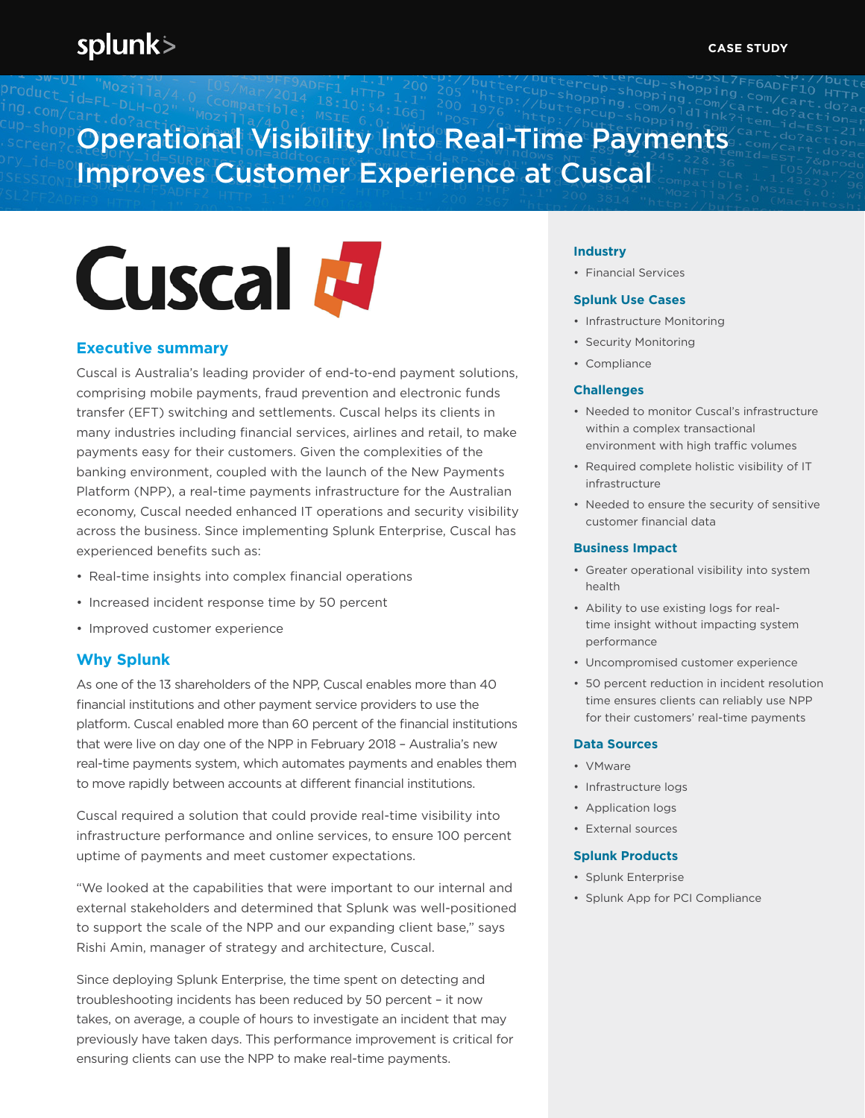# Operational Visibility Into Real-Time Payments Improves Customer Experience at Cuscal

# **Cuscal M**

## **Executive summary**

Cuscal is Australia's leading provider of end-to-end payment solutions, comprising mobile payments, fraud prevention and electronic funds transfer (EFT) switching and settlements. Cuscal helps its clients in many industries including financial services, airlines and retail, to make payments easy for their customers. Given the complexities of the banking environment, coupled with the launch of the New Payments Platform (NPP), a real-time payments infrastructure for the Australian economy, Cuscal needed enhanced IT operations and security visibility across the business. Since implementing Splunk Enterprise, Cuscal has experienced benefits such as:

- Real-time insights into complex financial operations
- Increased incident response time by 50 percent
- Improved customer experience

### **Why Splunk**

As one of the 13 shareholders of the NPP, Cuscal enables more than 40 financial institutions and other payment service providers to use the platform. Cuscal enabled more than 60 percent of the financial institutions that were live on day one of the NPP in February 2018 – Australia's new real-time payments system, which automates payments and enables them to move rapidly between accounts at different financial institutions.

Cuscal required a solution that could provide real-time visibility into infrastructure performance and online services, to ensure 100 percent uptime of payments and meet customer expectations.

"We looked at the capabilities that were important to our internal and external stakeholders and determined that Splunk was well-positioned to support the scale of the NPP and our expanding client base," says Rishi Amin, manager of strategy and architecture, Cuscal.

Since deploying Splunk Enterprise, the time spent on detecting and troubleshooting incidents has been reduced by 50 percent – it now takes, on average, a couple of hours to investigate an incident that may previously have taken days. This performance improvement is critical for ensuring clients can use the NPP to make real-time payments.

#### **Industry**

• Financial Services

#### **Splunk Use Cases**

- Infrastructure Monitoring
- Security Monitoring
- Compliance

#### **Challenges**

- Needed to monitor Cuscal's infrastructure within a complex transactional environment with high traffic volumes
- Required complete holistic visibility of IT infrastructure
- Needed to ensure the security of sensitive customer financial data

#### **Business Impact**

- Greater operational visibility into system health
- Ability to use existing logs for realtime insight without impacting system performance
- Uncompromised customer experience
- 50 percent reduction in incident resolution time ensures clients can reliably use NPP for their customers' real-time payments

#### **Data Sources**

- VMware
- Infrastructure logs
- Application logs
- External sources

#### **Splunk Products**

- Splunk Enterprise
- Splunk App for PCI Compliance